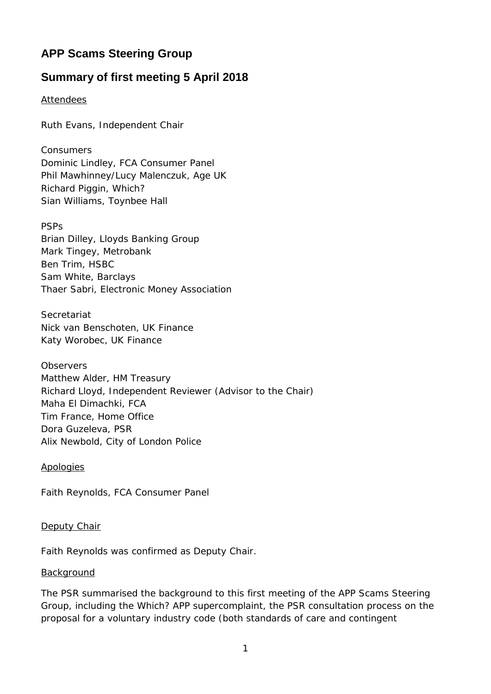# **APP Scams Steering Group**

# **Summary of first meeting 5 April 2018**

## Attendees

Ruth Evans, Independent Chair

*Consumers* Dominic Lindley, FCA Consumer Panel Phil Mawhinney/Lucy Malenczuk, Age UK Richard Piggin, Which? Sian Williams, Toynbee Hall

#### *PSPs*

Brian Dilley, Lloyds Banking Group Mark Tingey, Metrobank Ben Trim, HSBC Sam White, Barclays Thaer Sabri, Electronic Money Association

#### *Secretariat*

Nick van Benschoten, UK Finance Katy Worobec, UK Finance

*Observers* Matthew Alder, HM Treasury Richard Lloyd, Independent Reviewer (Advisor to the Chair) Maha El Dimachki, FCA Tim France, Home Office Dora Guzeleva, PSR Alix Newbold, City of London Police

Apologies

Faith Reynolds, FCA Consumer Panel

#### Deputy Chair

Faith Reynolds was confirmed as Deputy Chair.

#### Background

The PSR summarised the background to this first meeting of the APP Scams Steering Group, including the Which? APP supercomplaint, the PSR consultation process on the proposal for a voluntary industry code (both standards of care and contingent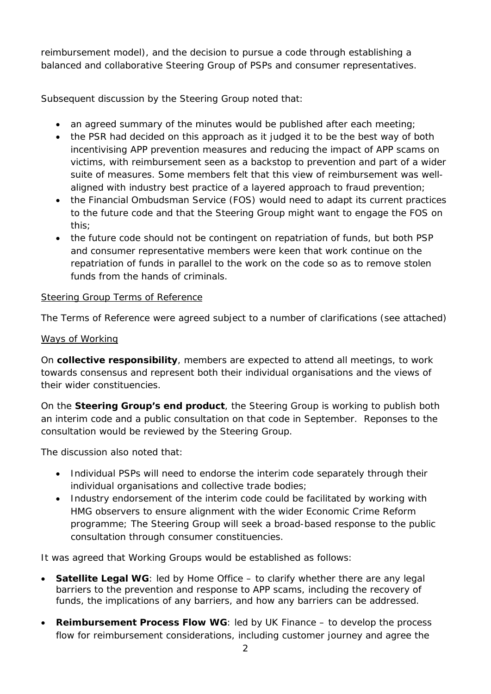reimbursement model), and the decision to pursue a code through establishing a balanced and collaborative Steering Group of PSPs and consumer representatives.

Subsequent discussion by the Steering Group noted that:

- an agreed summary of the minutes would be published after each meeting;
- the PSR had decided on this approach as it judged it to be the best way of both incentivising APP prevention measures and reducing the impact of APP scams on victims, with reimbursement seen as a backstop to prevention and part of a wider suite of measures. Some members felt that this view of reimbursement was wellaligned with industry best practice of a layered approach to fraud prevention;
- the Financial Ombudsman Service (FOS) would need to adapt its current practices to the future code and that the Steering Group might want to engage the FOS on this;
- the future code should not be contingent on repatriation of funds, but both PSP and consumer representative members were keen that work continue on the repatriation of funds in parallel to the work on the code so as to remove stolen funds from the hands of criminals.

## Steering Group Terms of Reference

The Terms of Reference were agreed subject to a number of clarifications (see attached)

# Ways of Working

On **collective responsibility**, members are expected to attend all meetings, to work towards consensus and represent both their individual organisations and the views of their wider constituencies.

On the **Steering Group's end product**, the Steering Group is working to publish both an interim code and a public consultation on that code in September. Reponses to the consultation would be reviewed by the Steering Group.

The discussion also noted that:

- Individual PSPs will need to endorse the interim code separately through their individual organisations and collective trade bodies;
- Industry endorsement of the interim code could be facilitated by working with HMG observers to ensure alignment with the wider Economic Crime Reform programme; The Steering Group will seek a broad-based response to the public consultation through consumer constituencies.

It was agreed that Working Groups would be established as follows:

- **Satellite Legal WG**: led by Home Office to clarify whether there are any legal barriers to the prevention and response to APP scams, including the recovery of funds, the implications of any barriers, and how any barriers can be addressed.
- **Reimbursement Process Flow WG**: led by UK Finance to develop the process flow for reimbursement considerations, including customer journey and agree the